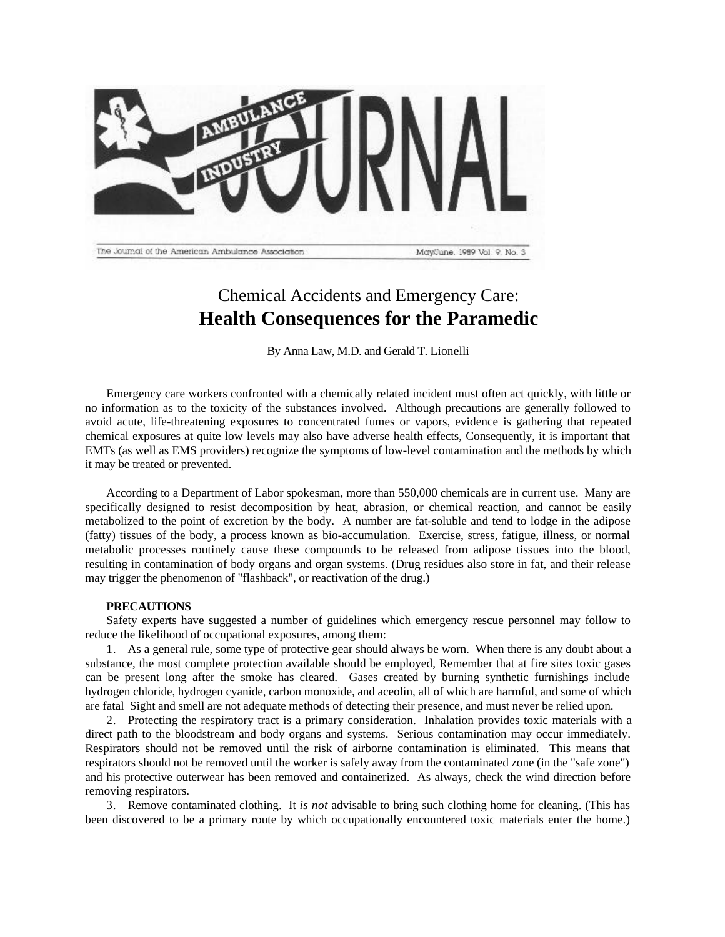

## Chemical Accidents and Emergency Care: **Health Consequences for the Paramedic**

By Anna Law, M.D. and Gerald T. Lionelli

Emergency care workers confronted with a chemically related incident must often act quickly, with little or no information as to the toxicity of the substances involved. Although precautions are generally followed to avoid acute, life-threatening exposures to concentrated fumes or vapors, evidence is gathering that repeated chemical exposures at quite low levels may also have adverse health effects, Consequently, it is important that EMTs (as well as EMS providers) recognize the symptoms of low-level contamination and the methods by which it may be treated or prevented.

According to a Department of Labor spokesman, more than 550,000 chemicals are in current use. Many are specifically designed to resist decomposition by heat, abrasion, or chemical reaction, and cannot be easily metabolized to the point of excretion by the body. A number are fat-soluble and tend to lodge in the adipose (fatty) tissues of the body, a process known as bio-accumulation. Exercise, stress, fatigue, illness, or normal metabolic processes routinely cause these compounds to be released from adipose tissues into the blood, resulting in contamination of body organs and organ systems. (Drug residues also store in fat, and their release may trigger the phenomenon of "flashback", or reactivation of the drug.)

## **PRECAUTIONS**

Safety experts have suggested a number of guidelines which emergency rescue personnel may follow to reduce the likelihood of occupational exposures, among them:

1. As a general rule, some type of protective gear should always be worn. When there is any doubt about a substance, the most complete protection available should be employed, Remember that at fire sites toxic gases can be present long after the smoke has cleared. Gases created by burning synthetic furnishings include hydrogen chloride, hydrogen cyanide, carbon monoxide, and aceolin, all of which are harmful, and some of which are fatal Sight and smell are not adequate methods of detecting their presence, and must never be relied upon.

2. Protecting the respiratory tract is a primary consideration. Inhalation provides toxic materials with a direct path to the bloodstream and body organs and systems. Serious contamination may occur immediately. Respirators should not be removed until the risk of airborne contamination is eliminated. This means that respirators should not be removed until the worker is safely away from the contaminated zone (in the "safe zone") and his protective outerwear has been removed and containerized. As always, check the wind direction before removing respirators.

3. Remove contaminated clothing. It *is not* advisable to bring such clothing home for cleaning. (This has been discovered to be a primary route by which occupationally encountered toxic materials enter the home.)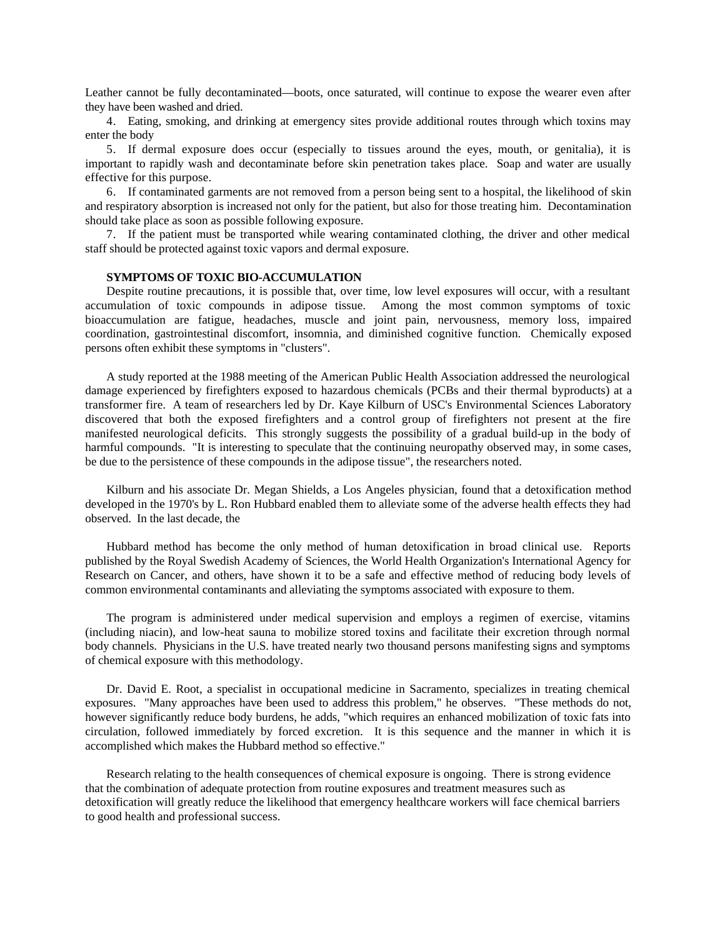Leather cannot be fully decontaminated—boots, once saturated, will continue to expose the wearer even after they have been washed and dried.

4. Eating, smoking, and drinking at emergency sites provide additional routes through which toxins may enter the body

5. If dermal exposure does occur (especially to tissues around the eyes, mouth, or genitalia), it is important to rapidly wash and decontaminate before skin penetration takes place. Soap and water are usually effective for this purpose.

6. If contaminated garments are not removed from a person being sent to a hospital, the likelihood of skin and respiratory absorption is increased not only for the patient, but also for those treating him. Decontamination should take place as soon as possible following exposure.

7. If the patient must be transported while wearing contaminated clothing, the driver and other medical staff should be protected against toxic vapors and dermal exposure.

## **SYMPTOMS OF TOXIC BIO-ACCUMULATION**

Despite routine precautions, it is possible that, over time, low level exposures will occur, with a resultant accumulation of toxic compounds in adipose tissue. Among the most common symptoms of toxic bioaccumulation are fatigue, headaches, muscle and joint pain, nervousness, memory loss, impaired coordination, gastrointestinal discomfort, insomnia, and diminished cognitive function. Chemically exposed persons often exhibit these symptoms in "clusters".

A study reported at the 1988 meeting of the American Public Health Association addressed the neurological damage experienced by firefighters exposed to hazardous chemicals (PCBs and their thermal byproducts) at a transformer fire. A team of researchers led by Dr. Kaye Kilburn of USC's Environmental Sciences Laboratory discovered that both the exposed firefighters and a control group of firefighters not present at the fire manifested neurological deficits. This strongly suggests the possibility of a gradual build-up in the body of harmful compounds. "It is interesting to speculate that the continuing neuropathy observed may, in some cases, be due to the persistence of these compounds in the adipose tissue", the researchers noted.

Kilburn and his associate Dr. Megan Shields, a Los Angeles physician, found that a detoxification method developed in the 1970's by L. Ron Hubbard enabled them to alleviate some of the adverse health effects they had observed. In the last decade, the

Hubbard method has become the only method of human detoxification in broad clinical use. Reports published by the Royal Swedish Academy of Sciences, the World Health Organization's International Agency for Research on Cancer, and others, have shown it to be a safe and effective method of reducing body levels of common environmental contaminants and alleviating the symptoms associated with exposure to them.

The program is administered under medical supervision and employs a regimen of exercise, vitamins (including niacin), and low-heat sauna to mobilize stored toxins and facilitate their excretion through normal body channels. Physicians in the U.S. have treated nearly two thousand persons manifesting signs and symptoms of chemical exposure with this methodology.

Dr. David E. Root, a specialist in occupational medicine in Sacramento, specializes in treating chemical exposures. "Many approaches have been used to address this problem," he observes. "These methods do not, however significantly reduce body burdens, he adds, "which requires an enhanced mobilization of toxic fats into circulation, followed immediately by forced excretion. It is this sequence and the manner in which it is accomplished which makes the Hubbard method so effective."

Research relating to the health consequences of chemical exposure is ongoing. There is strong evidence that the combination of adequate protection from routine exposures and treatment measures such as detoxification will greatly reduce the likelihood that emergency healthcare workers will face chemical barriers to good health and professional success.